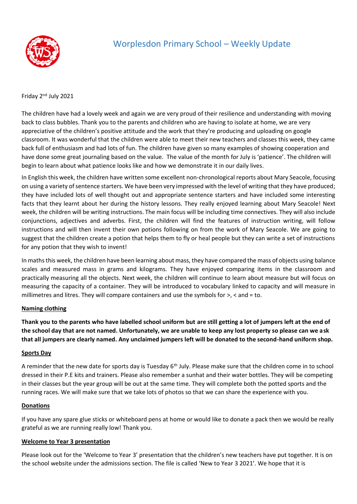

# Worplesdon Primary School – Weekly Update

Friday 2nd July 2021

The children have had a lovely week and again we are very proud of their resilience and understanding with moving back to class bubbles. Thank you to the parents and children who are having to isolate at home, we are very appreciative of the children's positive attitude and the work that they're producing and uploading on google classroom. It was wonderful that the children were able to meet their new teachers and classes this week, they came back full of enthusiasm and had lots of fun. The children have given so many examples of showing cooperation and have done some great journaling based on the value. The value of the month for July is 'patience'. The children will begin to learn about what patience looks like and how we demonstrate it in our daily lives.

In English this week, the children have written some excellent non-chronological reports about Mary Seacole, focusing on using a variety of sentence starters. We have been very impressed with the level of writing that they have produced; they have included lots of well thought out and appropriate sentence starters and have included some interesting facts that they learnt about her during the history lessons. They really enjoyed learning about Mary Seacole! Next week, the children will be writing instructions. The main focus will be including time connectives. They will also include conjunctions, adjectives and adverbs. First, the children will find the features of instruction writing, will follow instructions and will then invent their own potions following on from the work of Mary Seacole. We are going to suggest that the children create a potion that helps them to fly or heal people but they can write a set of instructions for any potion that they wish to invent!

In maths this week, the children have been learning about mass, they have compared the mass of objects using balance scales and measured mass in grams and kilograms. They have enjoyed comparing items in the classroom and practically measuring all the objects. Next week, the children will continue to learn about measure but will focus on measuring the capacity of a container. They will be introduced to vocabulary linked to capacity and will measure in millimetres and litres. They will compare containers and use the symbols for >, < and = to.

## **Naming clothing**

**Thank you to the parents who have labelled school uniform but are still getting a lot of jumpers left at the end of the school day that are not named. Unfortunately, we are unable to keep any lost property so please can we ask that all jumpers are clearly named. Any unclaimed jumpers left will be donated to the second-hand uniform shop.**

#### **Sports Day**

A reminder that the new date for sports day is Tuesday 6<sup>th</sup> July. Please make sure that the children come in to school dressed in their P.E kits and trainers. Please also remember a sunhat and their water bottles. They will be competing in their classes but the year group will be out at the same time. They will complete both the potted sports and the running races. We will make sure that we take lots of photos so that we can share the experience with you.

## **Donations**

If you have any spare glue sticks or whiteboard pens at home or would like to donate a pack then we would be really grateful as we are running really low! Thank you.

#### **Welcome to Year 3 presentation**

Please look out for the 'Welcome to Year 3' presentation that the children's new teachers have put together. It is on the school website under the admissions section. The file is called 'New to Year 3 2021'. We hope that it is